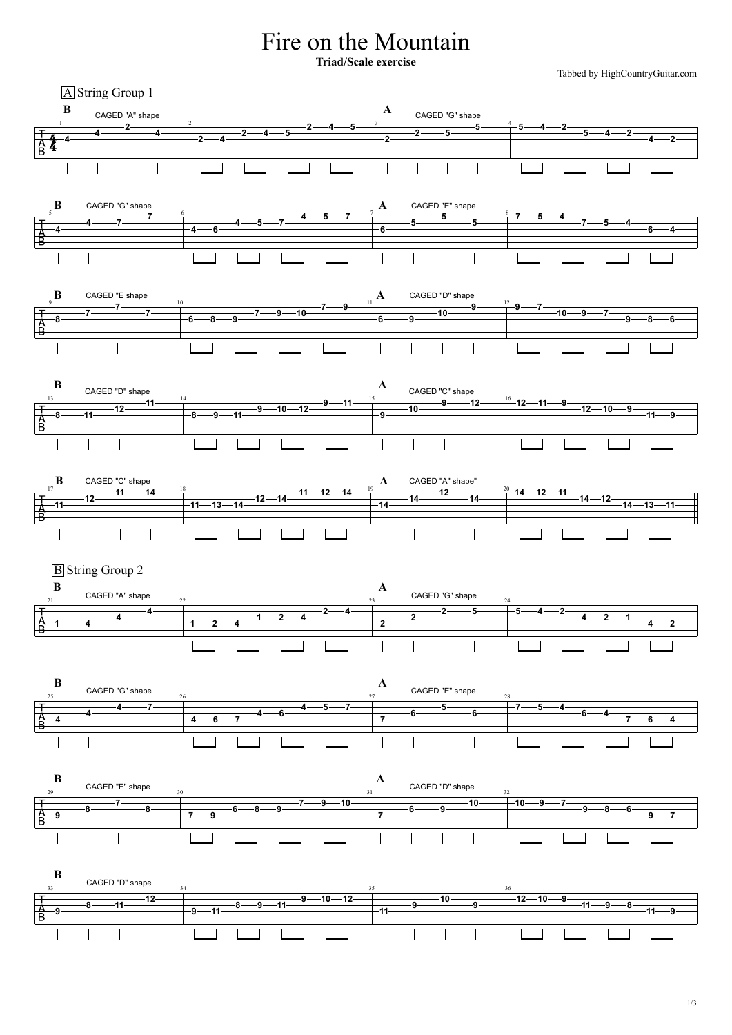## Fire on the Mountain

Tabbed by HighCountryGuitar.com  $\frac{4}{4}$  **2 4 2 4 2 4 2 4 5 2 4 5**  $\begin{array}{|c|c|c|c|c|c|}\n\hline\n2 & 2 & 5 & 5 & 4 & 2 \\
\hline\n\end{array}$ **<sup>5</sup> <sup>4</sup> <sup>2</sup> <sup>4</sup> <sup>2</sup>** A String Group 1 **B** CAGED "A" shape CAGED "G" shape  $\frac{1}{2}$  2  $\frac{1}{2}$   $\frac{1}{2}$   $\frac{1}{2}$   $\frac{1}{2}$   $\frac{1}{2}$   $\frac{1}{2}$   $\frac{1}{2}$   $\frac{1}{2}$   $\frac{1}{2}$   $\frac{1}{2}$   $\frac{1}{2}$   $\frac{1}{2}$   $\frac{1}{2}$   $\frac{1}{2}$   $\frac{1}{2}$   $\frac{1}{2}$   $\frac{1}{2}$   $\frac{1}{2}$   $\frac{1}{2}$   $\frac{1}{2}$   $\frac{1}{2}$ **<sup>4</sup> <sup>6</sup> <sup>4</sup> <sup>5</sup> <sup>7</sup> 4 5 7 <sup>6</sup> <sup>5</sup> <sup>5</sup> <sup>5</sup> 7 5 4 <sup>7</sup> <sup>5</sup> <sup>4</sup> <sup>6</sup> <sup>4</sup> B** CAGED "G" shape **A** CAGED "E" shape  $\frac{5}{2}$  5  $\frac{6}{2}$  6  $\frac{1}{2}$   $\frac{1}{2}$   $\frac{1}{2}$   $\frac{7}{2}$   $\frac{1}{2}$   $\frac{1}{2}$   $\frac{8}{2}$ **<sup>7</sup> <sup>6</sup> <sup>8</sup> <sup>9</sup> <sup>7</sup> <sup>9</sup> <sup>10</sup> <sup>7</sup> <sup>9</sup> <sup>6</sup> <sup>9</sup> <sup>10</sup> <sup>9</sup> <sup>9</sup> <sup>7</sup> <sup>10</sup> <sup>9</sup> <sup>7</sup> <sup>9</sup> <sup>8</sup> <sup>6</sup> B** CAGED "E shape **A** CAGED "D" shape 9 10 11 12 **<sup>8</sup> <sup>11</sup> <sup>12</sup> <sup>11</sup> <sup>8</sup> <sup>9</sup> <sup>11</sup> <sup>9</sup> <sup>10</sup> <sup>12</sup> <sup>9</sup> <sup>11</sup> <sup>9</sup> <sup>10</sup> <sup>9</sup> <sup>12</sup> <sup>12</sup> <sup>11</sup> <sup>9</sup> <sup>12</sup> <sup>10</sup> <sup>9</sup> <sup>11</sup> <sup>9</sup>**  $\mathbf{B}$  **CAGED "D" shape** CAGED "C" shape  $\mathbf{A}$  **CAGED "C" shape**  $13$  13 14 14 14 15 0 40 16 **<sup>11</sup> <sup>12</sup> <sup>11</sup> <sup>14</sup> <sup>11</sup> <sup>13</sup> <sup>14</sup> <sup>12</sup> <sup>14</sup> <sup>11</sup> <sup>12</sup> <sup>14</sup> <sup>14</sup> <sup>14</sup> <sup>12</sup> <sup>14</sup> <sup>14</sup> <sup>12</sup> <sup>11</sup> <sup>14</sup> <sup>12</sup> <sup>14</sup> <sup>13</sup> <sup>11</sup>**  $\mathbf{B}$  CAGED "C" shape  $\mathbf{A}$  CAGED "A" shape"  $17$  18  $18$  19  $19$  19  $19$  19  $19$  19  $19$  19  $19$  19  $19$  19  $19$  19  $19$  19  $19$  19  $19$  19  $19$  19  $19$  19  $19$  19  $19$  19  $19$  19  $19$  19  $19$  19  $19$  19  $19$  19  $19$  19  $19$  19  $19$  19  $19$  19  $19$  19  $19$  19  $19$  **<sup>1</sup> <sup>2</sup> <sup>4</sup> <sup>1</sup> <sup>2</sup> <sup>4</sup> <sup>2</sup> <sup>4</sup> <sup>2</sup> <sup>2</sup> <sup>2</sup> <sup>5</sup> <sup>5</sup> <sup>4</sup> <sup>2</sup> <sup>4</sup> <sup>2</sup> <sup>1</sup> <sup>4</sup> <sup>2</sup> B**  $\qquad \qquad \bullet$  **A**  $\mathbf{B}$  CAGED "A" shape  $\mathbf{A}$  CAGED "G" shape **B**  $\qquad \qquad \bullet$  **A** CAGED "G" shape  $\frac{25}{26}$  CAGED "E" shape  $\frac{28}{28}$ 

**Triad/Scale exercise**

**<sup>4</sup> <sup>4</sup> <sup>7</sup>**

**7**

**<sup>8</sup> <sup>7</sup>**

僑

 $\overline{\mathsf{B}}$ 

T<br>A<br>B

**7**

**A**<br>B

 $\frac{\mathsf{A}}{\mathsf{B}}$ 

 $\overline{\mathsf{B}}$ 

**<sup>1</sup> <sup>4</sup> <sup>4</sup> <sup>4</sup>**

**B** String Group 2

**<sup>4</sup> <sup>6</sup> <sup>4</sup> <sup>5</sup> <sup>7</sup>**



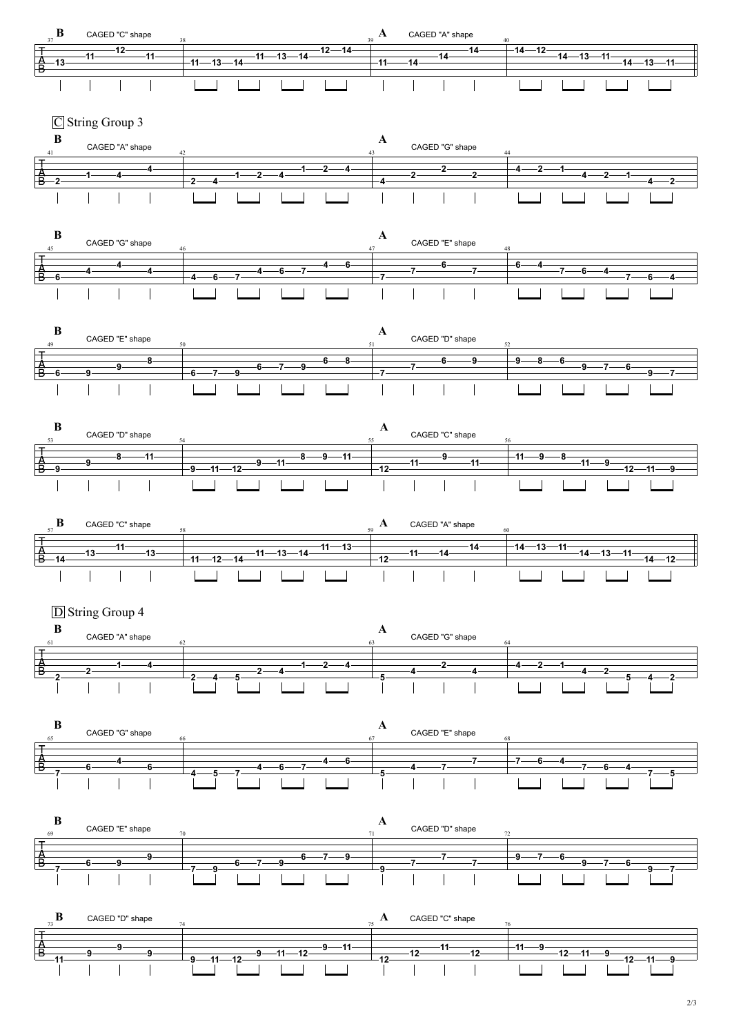2/3

















 $\mathbf{B}$  **A**